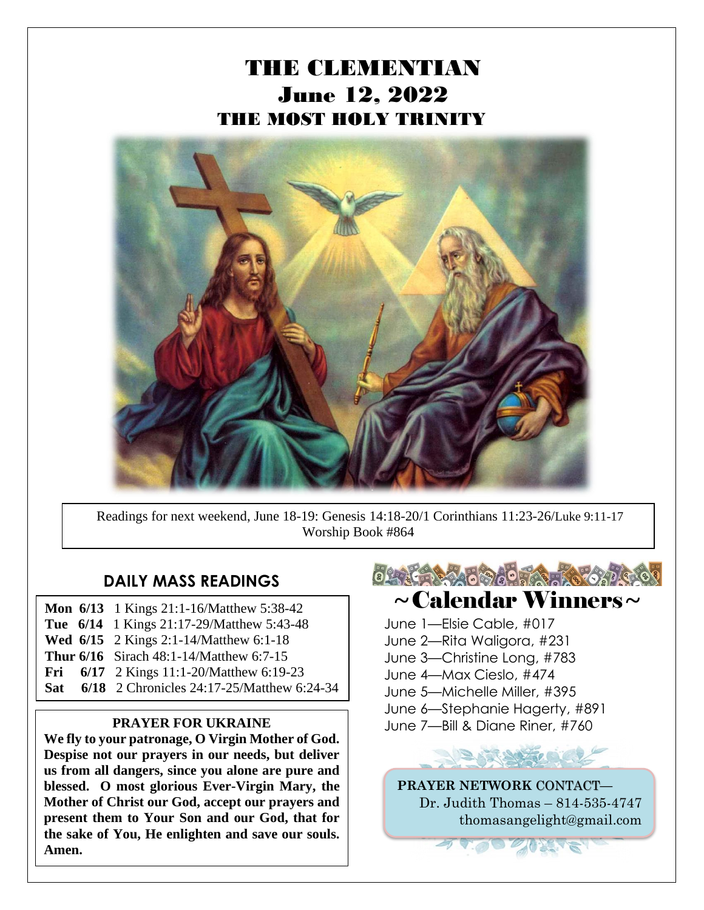# THE CLEMENTIAN June 12, 2022 THE MOST HOLY TRINITY



Readings for next weekend, June 18-19: Genesis 14:18-20/1 Corinthians 11:23-26/Luke 9:11-17 Worship Book #864

#### **DAILY MASS READINGS**

- **Mon 6/13** 1 Kings 21:1-16/Matthew 5:38-42 **Tue 6/14** 1 Kings 21:17-29/Matthew 5:43-48
- **Wed 6/15** 2 Kings 2:1-14/Matthew 6:1-18
- **Thur 6/16** Sirach 48:1-14/Matthew 6:7-15
- **Fri** 6/17 2 Kings 11:1-20/Matthew 6:19-23
- **Sat 6/18** 2 Chronicles 24:17-25/Matthew 6:24-34

**We fly to your patronage, O Virgin Mother of God. Despise not our prayers in our needs, but deliver us from all dangers, since you alone are pure and blessed. O most glorious Ever-Virgin Mary, the Mother of Christ our God, accept our prayers and present them to Your Son and our God, that for the sake of You, He enlighten and save our souls. Amen.**



## $\sim$ Calendar Winners $\sim$

- June 1—Elsie Cable, #017
- June 2—Rita Waligora, #231
- June 3—Christine Long, #783
- June 4—Max Cieslo, #474
- June 5—Michelle Miller, #395
- June 6—Stephanie Hagerty, #891
- **PRAYER FOR UKRAINE** June 7—Bill & Diane Riner, #760



**PRAYER NETWORK** CONTACT**—** Dr. Judith Thomas – 814-535-4747 thomasangelight@gmail.com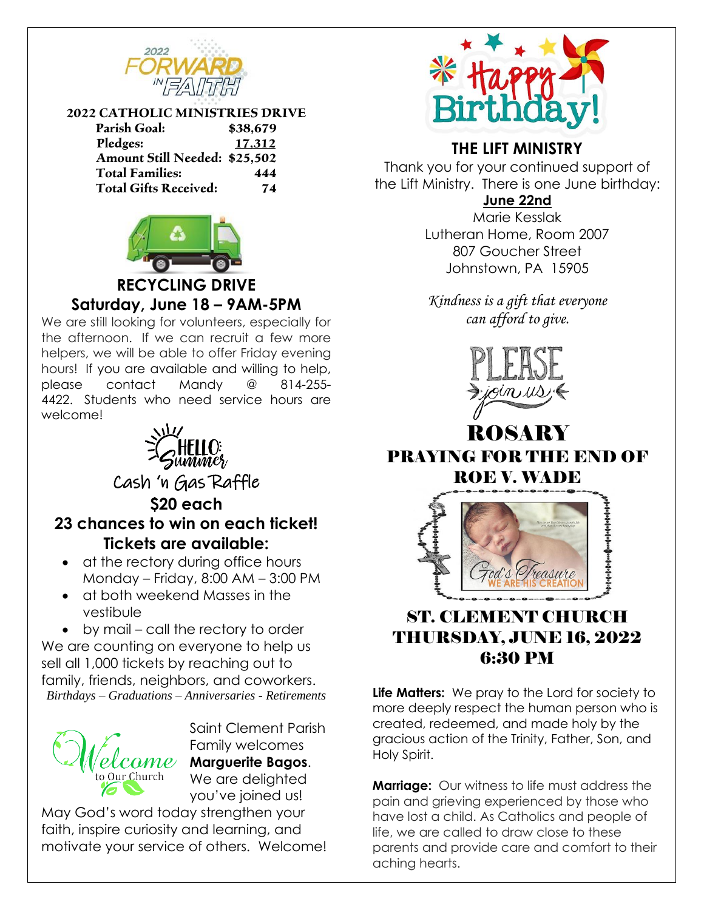

#### **2022 CATHOLIC MINISTRIES DRIVE**

| <b>Parish Goal:</b>                  | \$38,679 |
|--------------------------------------|----------|
| Pledges:                             | 17,312   |
| <b>Amount Still Needed: \$25,502</b> |          |
| <b>Total Families:</b>               | 444      |
| <b>Total Gifts Received:</b>         | 74       |



### **RECYCLING DRIVE Saturday, June 18 – 9AM-5PM**

We are still looking for volunteers, especially for the afternoon. If we can recruit a few more helpers, we will be able to offer Friday evening hours! If you are available and willing to help, please contact Mandy @ 814-255- 4422. Students who need service hours are welcome!



Cash 'n Gas Raffle **\$20 each 23 chances to win on each ticket!**

**Tickets are available:**

- at the rectory during office hours Monday – Friday, 8:00 AM – 3:00 PM
- at both weekend Masses in the vestibule

• by mail – call the rectory to order We are counting on everyone to help us sell all 1,000 tickets by reaching out to family, friends, neighbors, and coworkers. *Birthdays – Graduations – Anniversaries - Retirements*



Saint Clement Parish Family welcomes **Marguerite Bagos**. We are delighted you've joined us!

May God's word today strengthen your faith, inspire curiosity and learning, and motivate your service of others. Welcome!



## **THE LIFT MINISTRY**

Thank you for your continued support of the Lift Ministry. There is one June birthday:

**June 22nd**

Marie Kesslak Lutheran Home, Room 2007 807 Goucher Street Johnstown, PA 15905

*Kindness is a gift that everyone can afford to give.*



## ROSAI PRAYING FOR THE END OF ROE V. WADE



## ST. CLEMENT CHURCH THURSDAY, JUNE 16, 2022 6:30 PM

**Life Matters:** We pray to the Lord for society to more deeply respect the human person who is created, redeemed, and made holy by the gracious action of the Trinity, Father, Son, and Holy Spirit.

**Marriage:** Our witness to life must address the pain and grieving experienced by those who have lost a child. As Catholics and people of life, we are called to draw close to these parents and provide care and comfort to their aching hearts.